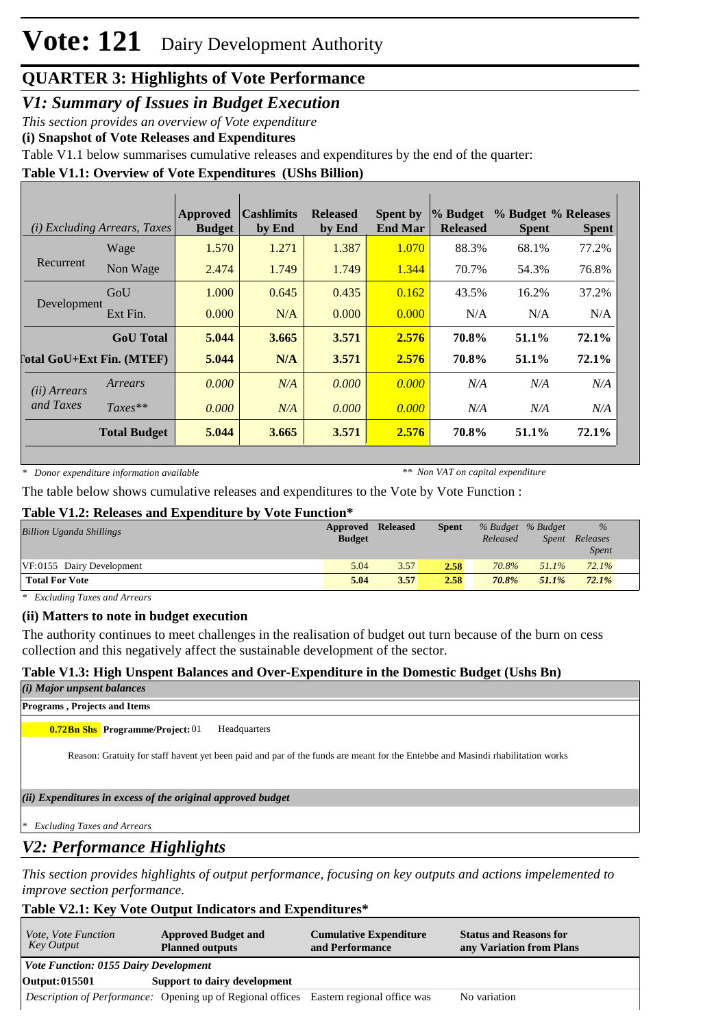# **Vote: 121** Dairy Development Authority

# **QUARTER 3: Highlights of Vote Performance**

*V1: Summary of Issues in Budget Execution*

*This section provides an overview of Vote expenditure* 

**(i) Snapshot of Vote Releases and Expenditures**

Table V1.1 below summarises cumulative releases and expenditures by the end of the quarter:

#### **Table V1.1: Overview of Vote Expenditures (UShs Billion)**

|                                  | ( <i>i</i> ) Excluding Arrears, Taxes | Approved<br><b>Budget</b> | <b>Cashlimits</b><br>by End | <b>Released</b><br>by End | <b>Spent by</b><br><b>End Mar</b> | % Budget<br><b>Released</b> | % Budget % Releases<br><b>Spent</b> | <b>Spent</b> |
|----------------------------------|---------------------------------------|---------------------------|-----------------------------|---------------------------|-----------------------------------|-----------------------------|-------------------------------------|--------------|
|                                  | Wage                                  | 1.570                     | 1.271                       | 1.387                     | 1.070                             | 88.3%                       | 68.1%                               | 77.2%        |
| Recurrent                        | Non Wage                              | 2.474                     | 1.749                       | 1.749                     | 1.344                             | 70.7%                       | 54.3%                               | 76.8%        |
|                                  | GoU                                   | 1.000                     | 0.645                       | 0.435                     | 0.162                             | 43.5%                       | 16.2%                               | 37.2%        |
| Development                      | Ext Fin.                              | 0.000                     | N/A                         | 0.000                     | 0.000                             | N/A                         | N/A                                 | N/A          |
|                                  | <b>GoU</b> Total                      | 5.044                     | 3.665                       | 3.571                     | 2.576                             | 70.8%                       | 51.1%                               | 72.1%        |
| <b>Total GoU+Ext Fin. (MTEF)</b> |                                       | 5.044                     | N/A                         | 3.571                     | 2.576                             | 70.8%                       | 51.1%                               | 72.1%        |
| ( <i>ii</i> ) Arrears            | Arrears                               | 0.000                     | N/A                         | 0.000                     | 0.000                             | N/A                         | N/A                                 | N/A          |
| and Taxes                        | $Taxes**$                             | 0.000                     | N/A                         | 0.000                     | 0.000                             | N/A                         | N/A                                 | N/A          |
|                                  | <b>Total Budget</b>                   | 5.044                     | 3.665                       | 3.571                     | 2.576                             | 70.8%                       | 51.1%                               | 72.1%        |

*\* Donor expenditure information available*

*\*\* Non VAT on capital expenditure*

The table below shows cumulative releases and expenditures to the Vote by Vote Function :

#### **Table V1.2: Releases and Expenditure by Vote Function\***

| <b>Billion Uganda Shillings</b> | <b>Approved Released</b><br><b>Budget</b> |      | <b>Spent</b> | Released | % Budget % Budget<br>Spent | $\%$<br>Releases<br><i>Spent</i> |
|---------------------------------|-------------------------------------------|------|--------------|----------|----------------------------|----------------------------------|
| VF:0155 Dairy Development       | 5.04                                      | 3.57 | 2.58         | 70.8%    | $51.1\%$                   | 72.1%                            |
| <b>Total For Vote</b>           | 5.04                                      | 3.57 | 2.58         | 70.8%    | 51.1%                      | 72.1%                            |

*\* Excluding Taxes and Arrears*

#### **(ii) Matters to note in budget execution**

The authority continues to meet challenges in the realisation of budget out turn because of the burn on cess collection and this negatively affect the sustainable development of the sector.

#### **Table V1.3: High Unspent Balances and Over-Expenditure in the Domestic Budget (Ushs Bn)**

#### *(i) Major unpsent balances*

#### **Programs , Projects and Items**

**0.72Bn Shs Programme/Project:** 01 Headquarters

Reason: Gratuity for staff havent yet been paid and par of the funds are meant for the Entebbe and Masindi rhabilitation works

*(ii) Expenditures in excess of the original approved budget*

*\* Excluding Taxes and Arrears*

# *V2: Performance Highlights*

*This section provides highlights of output performance, focusing on key outputs and actions impelemented to improve section performance.*

#### **Table V2.1: Key Vote Output Indicators and Expenditures\***

| <i>Vote, Vote Function</i><br>Key Output     | <b>Approved Budget and</b><br><b>Planned outputs</b>                                   | <b>Cumulative Expenditure</b><br>and Performance | <b>Status and Reasons for</b><br>any Variation from Plans |
|----------------------------------------------|----------------------------------------------------------------------------------------|--------------------------------------------------|-----------------------------------------------------------|
| <b>Vote Function: 0155 Dairy Development</b> |                                                                                        |                                                  |                                                           |
| Output: 015501                               | Support to dairy development                                                           |                                                  |                                                           |
|                                              | Description of Performance: Opening up of Regional offices Eastern regional office was |                                                  | No variation                                              |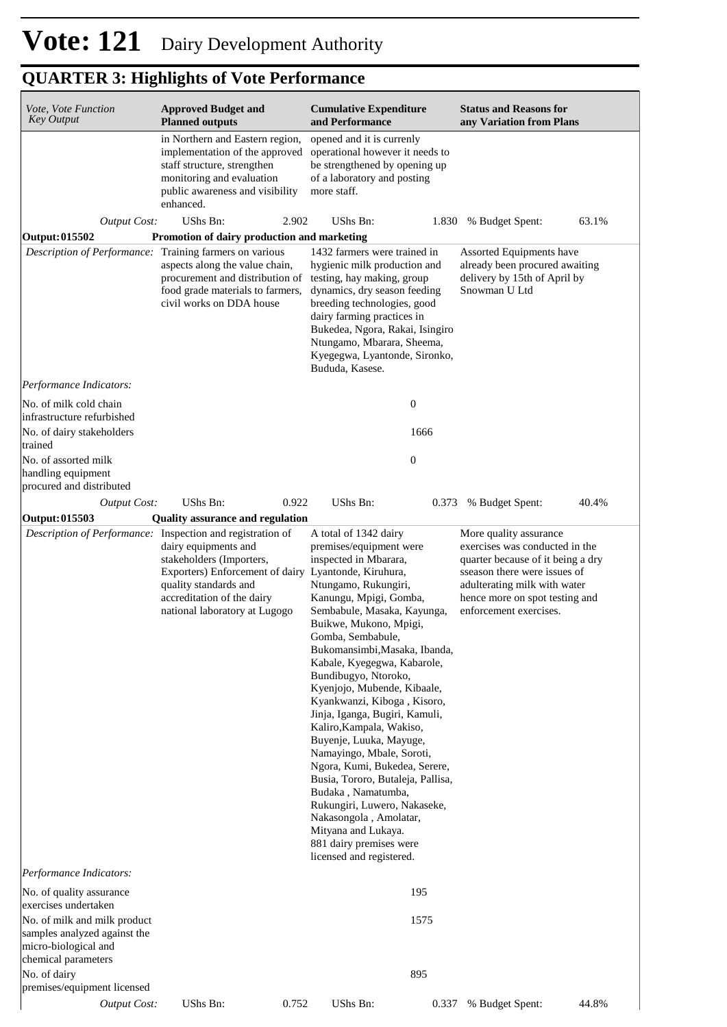# **QUARTER 3: Highlights of Vote Performance**

| Vote, Vote Function<br><b>Key Output</b>                                                                    | <b>Cumulative Expenditure</b><br><b>Approved Budget and</b><br><b>Planned outputs</b><br>and Performance                                                                                                                           |                                                                                                                                                                                                                                                                                                                                                                                                                                                                                                                                                                                                                                                                                                                           | <b>Status and Reasons for</b><br>any Variation from Plans                                                                                                                                                                 |
|-------------------------------------------------------------------------------------------------------------|------------------------------------------------------------------------------------------------------------------------------------------------------------------------------------------------------------------------------------|---------------------------------------------------------------------------------------------------------------------------------------------------------------------------------------------------------------------------------------------------------------------------------------------------------------------------------------------------------------------------------------------------------------------------------------------------------------------------------------------------------------------------------------------------------------------------------------------------------------------------------------------------------------------------------------------------------------------------|---------------------------------------------------------------------------------------------------------------------------------------------------------------------------------------------------------------------------|
|                                                                                                             | in Northern and Eastern region,<br>implementation of the approved<br>staff structure, strengthen<br>monitoring and evaluation<br>public awareness and visibility<br>enhanced.                                                      | opened and it is currenly<br>operational however it needs to<br>be strengthened by opening up<br>of a laboratory and posting<br>more staff.                                                                                                                                                                                                                                                                                                                                                                                                                                                                                                                                                                               |                                                                                                                                                                                                                           |
| <b>Output Cost:</b>                                                                                         | UShs Bn:<br>2.902                                                                                                                                                                                                                  | UShs Bn:<br>1.830                                                                                                                                                                                                                                                                                                                                                                                                                                                                                                                                                                                                                                                                                                         | % Budget Spent:<br>63.1%                                                                                                                                                                                                  |
| <b>Output: 015502</b>                                                                                       | Promotion of dairy production and marketing                                                                                                                                                                                        |                                                                                                                                                                                                                                                                                                                                                                                                                                                                                                                                                                                                                                                                                                                           |                                                                                                                                                                                                                           |
| Description of Performance:                                                                                 | Training farmers on various<br>aspects along the value chain,<br>procurement and distribution of<br>food grade materials to farmers,<br>civil works on DDA house                                                                   | 1432 farmers were trained in<br>hygienic milk production and<br>testing, hay making, group<br>dynamics, dry season feeding<br>breeding technologies, good<br>dairy farming practices in<br>Bukedea, Ngora, Rakai, Isingiro<br>Ntungamo, Mbarara, Sheema,<br>Kyegegwa, Lyantonde, Sironko,<br>Bududa, Kasese.                                                                                                                                                                                                                                                                                                                                                                                                              | Assorted Equipments have<br>already been procured awaiting<br>delivery by 15th of April by<br>Snowman U Ltd                                                                                                               |
| Performance Indicators:                                                                                     |                                                                                                                                                                                                                                    |                                                                                                                                                                                                                                                                                                                                                                                                                                                                                                                                                                                                                                                                                                                           |                                                                                                                                                                                                                           |
| No. of milk cold chain<br>infrastructure refurbished                                                        |                                                                                                                                                                                                                                    | $\boldsymbol{0}$                                                                                                                                                                                                                                                                                                                                                                                                                                                                                                                                                                                                                                                                                                          |                                                                                                                                                                                                                           |
| No. of dairy stakeholders<br>trained                                                                        |                                                                                                                                                                                                                                    | 1666                                                                                                                                                                                                                                                                                                                                                                                                                                                                                                                                                                                                                                                                                                                      |                                                                                                                                                                                                                           |
| No. of assorted milk<br>handling equipment<br>procured and distributed                                      |                                                                                                                                                                                                                                    | $\boldsymbol{0}$                                                                                                                                                                                                                                                                                                                                                                                                                                                                                                                                                                                                                                                                                                          |                                                                                                                                                                                                                           |
| <b>Output Cost:</b>                                                                                         | UShs Bn:<br>0.922                                                                                                                                                                                                                  | UShs Bn:<br>0.373                                                                                                                                                                                                                                                                                                                                                                                                                                                                                                                                                                                                                                                                                                         | % Budget Spent:<br>40.4%                                                                                                                                                                                                  |
| Output: 015503                                                                                              | <b>Quality assurance and regulation</b>                                                                                                                                                                                            |                                                                                                                                                                                                                                                                                                                                                                                                                                                                                                                                                                                                                                                                                                                           |                                                                                                                                                                                                                           |
| Description of Performance:                                                                                 | Inspection and registration of<br>dairy equipments and<br>stakeholders (Importers,<br>Exporters) Enforcement of dairy Lyantonde, Kiruhura,<br>quality standards and<br>accreditation of the dairy<br>national laboratory at Lugogo | A total of 1342 dairy<br>premises/equipment were<br>inspected in Mbarara,<br>Ntungamo, Rukungiri,<br>Kanungu, Mpigi, Gomba,<br>Sembabule, Masaka, Kayunga,<br>Buikwe, Mukono, Mpigi,<br>Gomba, Sembabule,<br>Bukomansimbi, Masaka, Ibanda,<br>Kabale, Kyegegwa, Kabarole,<br>Bundibugyo, Ntoroko,<br>Kyenjojo, Mubende, Kibaale,<br>Kyankwanzi, Kiboga, Kisoro,<br>Jinja, Iganga, Bugiri, Kamuli,<br>Kaliro, Kampala, Wakiso,<br>Buyenje, Luuka, Mayuge,<br>Namayingo, Mbale, Soroti,<br>Ngora, Kumi, Bukedea, Serere,<br>Busia, Tororo, Butaleja, Pallisa,<br>Budaka, Namatumba,<br>Rukungiri, Luwero, Nakaseke,<br>Nakasongola, Amolatar,<br>Mityana and Lukaya.<br>881 dairy premises were<br>licensed and registered. | More quality assurance<br>exercises was conducted in the<br>quarter because of it being a dry<br>sseason there were issues of<br>adulterating milk with water<br>hence more on spot testing and<br>enforcement exercises. |
| Performance Indicators:                                                                                     |                                                                                                                                                                                                                                    |                                                                                                                                                                                                                                                                                                                                                                                                                                                                                                                                                                                                                                                                                                                           |                                                                                                                                                                                                                           |
| No. of quality assurance<br>exercises undertaken                                                            |                                                                                                                                                                                                                                    | 195                                                                                                                                                                                                                                                                                                                                                                                                                                                                                                                                                                                                                                                                                                                       |                                                                                                                                                                                                                           |
| No. of milk and milk product<br>samples analyzed against the<br>micro-biological and<br>chemical parameters |                                                                                                                                                                                                                                    | 1575                                                                                                                                                                                                                                                                                                                                                                                                                                                                                                                                                                                                                                                                                                                      |                                                                                                                                                                                                                           |
| No. of dairy                                                                                                |                                                                                                                                                                                                                                    | 895                                                                                                                                                                                                                                                                                                                                                                                                                                                                                                                                                                                                                                                                                                                       |                                                                                                                                                                                                                           |
| premises/equipment licensed<br><b>Output Cost:</b>                                                          | UShs Bn:<br>0.752                                                                                                                                                                                                                  | UShs Bn:<br>0.337                                                                                                                                                                                                                                                                                                                                                                                                                                                                                                                                                                                                                                                                                                         | 44.8%<br>% Budget Spent:                                                                                                                                                                                                  |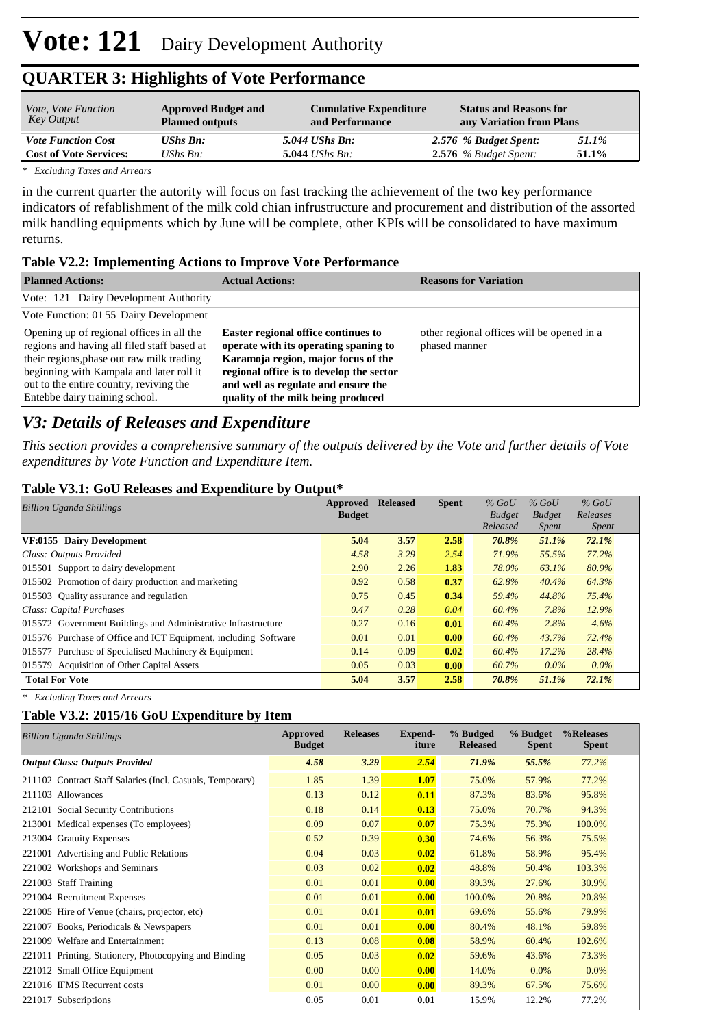# **QUARTER 3: Highlights of Vote Performance**

| <i>Vote, Vote Function</i><br>Key Output | <b>Approved Budget and</b><br><b>Planned outputs</b> | <b>Cumulative Expenditure</b><br>and Performance | <b>Status and Reasons for</b><br>any Variation from Plans |       |
|------------------------------------------|------------------------------------------------------|--------------------------------------------------|-----------------------------------------------------------|-------|
| <b>Vote Function Cost</b>                | UShs Bn:                                             | $5.044$ UShs Bn:                                 | 2.576 % Budget Spent:                                     | 51.1% |
| <b>Cost of Vote Services:</b>            | UShs $B_n$ :                                         | 5.044 <i>UShs Bn</i> :                           | $2.576$ % Budget Spent:                                   | 51.1% |

*\* Excluding Taxes and Arrears*

in the current quarter the autority will focus on fast tracking the achievement of the two key performance indicators of refablishment of the milk cold chian infrustructure and procurement and distribution of the assorted milk handling equipments which by June will be complete, other KPIs will be consolidated to have maximum returns.

#### **Table V2.2: Implementing Actions to Improve Vote Performance**

| <b>Planned Actions:</b>                                                                                                                                                                                                                                        | <b>Actual Actions:</b>                                                                                                                                                                                                                              | <b>Reasons for Variation</b>                                |
|----------------------------------------------------------------------------------------------------------------------------------------------------------------------------------------------------------------------------------------------------------------|-----------------------------------------------------------------------------------------------------------------------------------------------------------------------------------------------------------------------------------------------------|-------------------------------------------------------------|
| Vote: 121 Dairy Development Authority                                                                                                                                                                                                                          |                                                                                                                                                                                                                                                     |                                                             |
| Vote Function: 01 55 Dairy Development                                                                                                                                                                                                                         |                                                                                                                                                                                                                                                     |                                                             |
| Opening up of regional offices in all the<br>regions and having all filed staff based at<br>their regions, phase out raw milk trading<br>beginning with Kampala and later roll it<br>out to the entire country, reviving the<br>Entebbe dairy training school. | <b>Easter regional office continues to</b><br>operate with its operating spaning to<br>Karamoja region, major focus of the<br>regional office is to develop the sector<br>and well as regulate and ensure the<br>quality of the milk being produced | other regional offices will be opened in a<br>phased manner |

### *V3: Details of Releases and Expenditure*

*This section provides a comprehensive summary of the outputs delivered by the Vote and further details of Vote expenditures by Vote Function and Expenditure Item.*

#### **Table V3.1: GoU Releases and Expenditure by Output\***

| <b>Billion Uganda Shillings</b>                                 | Approved<br><b>Budget</b> | <b>Released</b> | <b>Spent</b> | $%$ GoU<br><b>Budget</b> | $%$ GoU<br><b>Budget</b> | $%$ GoU<br>Releases |  |
|-----------------------------------------------------------------|---------------------------|-----------------|--------------|--------------------------|--------------------------|---------------------|--|
|                                                                 |                           |                 |              | Released                 | <i>Spent</i>             | <i>Spent</i>        |  |
| VF:0155 Dairy Development                                       | 5.04                      | 3.57            | 2.58         | 70.8%                    | 51.1%                    | 72.1%               |  |
| Class: Outputs Provided                                         | 4.58                      | 3.29            | 2.54         | 71.9%                    | 55.5%                    | 77.2%               |  |
| 015501 Support to dairy development                             | 2.90                      | 2.26            | 1.83         | 78.0%                    | 63.1%                    | 80.9%               |  |
| 015502 Promotion of dairy production and marketing              | 0.92                      | 0.58            | 0.37         | 62.8%                    | 40.4%                    | 64.3%               |  |
| 015503 Ouality assurance and regulation                         | 0.75                      | 0.45            | 0.34         | 59.4%                    | 44.8%                    | 75.4%               |  |
| Class: Capital Purchases                                        | 0.47                      | 0.28            | 0.04         | 60.4%                    | 7.8%                     | 12.9%               |  |
| 015572 Government Buildings and Administrative Infrastructure   | 0.27                      | 0.16            | 0.01         | 60.4%                    | 2.8%                     | 4.6%                |  |
| 015576 Purchase of Office and ICT Equipment, including Software | 0.01                      | 0.01            | 0.00         | 60.4%                    | 43.7%                    | 72.4%               |  |
| 015577 Purchase of Specialised Machinery & Equipment            | 0.14                      | 0.09            | 0.02         | 60.4%                    | $17.2\%$                 | 28.4%               |  |
| 015579 Acquisition of Other Capital Assets                      | 0.05                      | 0.03            | 0.00         | 60.7%                    | $0.0\%$                  | $0.0\%$             |  |
| <b>Total For Vote</b>                                           | 5.04                      | 3.57            | 2.58         | 70.8%                    | 51.1%                    | 72.1%               |  |

*\* Excluding Taxes and Arrears*

#### **Table V3.2: 2015/16 GoU Expenditure by Item**

| <b>Billion Uganda Shillings</b>                           | Approved<br><b>Budget</b> | <b>Releases</b> | Expend-<br>iture | % Budged<br><b>Released</b> | % Budget<br><b>Spent</b> | %Releases<br><b>Spent</b> |
|-----------------------------------------------------------|---------------------------|-----------------|------------------|-----------------------------|--------------------------|---------------------------|
| <b>Output Class: Outputs Provided</b>                     | 4.58                      | 3.29            | 2.54             | 71.9%                       | 55.5%                    | 77.2%                     |
| 211102 Contract Staff Salaries (Incl. Casuals, Temporary) | 1.85                      | 1.39            | 1.07             | 75.0%                       | 57.9%                    | 77.2%                     |
| 211103 Allowances                                         | 0.13                      | 0.12            | 0.11             | 87.3%                       | 83.6%                    | 95.8%                     |
| 212101 Social Security Contributions                      | 0.18                      | 0.14            | 0.13             | 75.0%                       | 70.7%                    | 94.3%                     |
| 213001 Medical expenses (To employees)                    | 0.09                      | 0.07            | 0.07             | 75.3%                       | 75.3%                    | 100.0%                    |
| 213004 Gratuity Expenses                                  | 0.52                      | 0.39            | 0.30             | 74.6%                       | 56.3%                    | 75.5%                     |
| 221001 Advertising and Public Relations                   | 0.04                      | 0.03            | 0.02             | 61.8%                       | 58.9%                    | 95.4%                     |
| 221002 Workshops and Seminars                             | 0.03                      | 0.02            | 0.02             | 48.8%                       | 50.4%                    | 103.3%                    |
| 221003 Staff Training                                     | 0.01                      | 0.01            | 0.00             | 89.3%                       | 27.6%                    | 30.9%                     |
| 221004 Recruitment Expenses                               | 0.01                      | 0.01            | 0.00             | 100.0%                      | 20.8%                    | 20.8%                     |
| 221005 Hire of Venue (chairs, projector, etc)             | 0.01                      | 0.01            | 0.01             | 69.6%                       | 55.6%                    | 79.9%                     |
| 221007 Books, Periodicals & Newspapers                    | 0.01                      | 0.01            | 0.00             | 80.4%                       | 48.1%                    | 59.8%                     |
| 221009 Welfare and Entertainment                          | 0.13                      | 0.08            | 0.08             | 58.9%                       | 60.4%                    | 102.6%                    |
| 221011 Printing, Stationery, Photocopying and Binding     | 0.05                      | 0.03            | 0.02             | 59.6%                       | 43.6%                    | 73.3%                     |
| 221012 Small Office Equipment                             | 0.00                      | 0.00            | 0.00             | 14.0%                       | $0.0\%$                  | 0.0%                      |
| 221016 IFMS Recurrent costs                               | 0.01                      | 0.00            | 0.00             | 89.3%                       | 67.5%                    | 75.6%                     |
| 221017 Subscriptions                                      | 0.05                      | 0.01            | 0.01             | 15.9%                       | 12.2%                    | 77.2%                     |